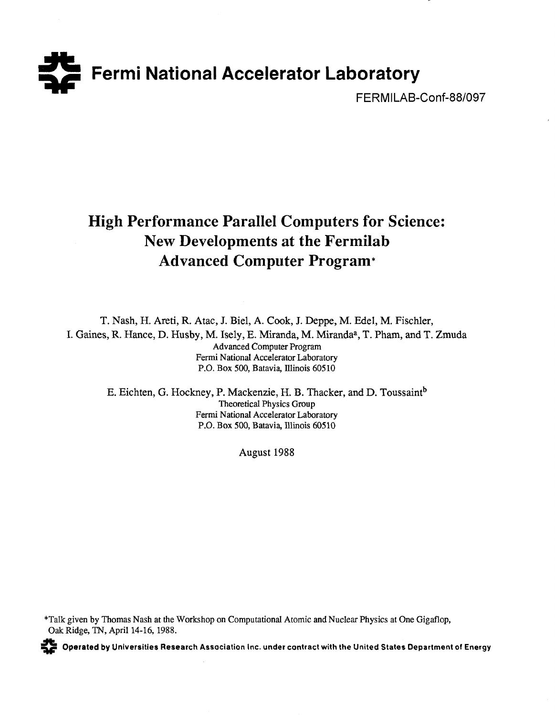

FERMILAB-Conf-88/097

# **High Performance Parallel Computers for Science: New Developments at the Fermilab Advanced Computer Program\***

T. Nash, H. Areti, R. Atac, J. Biel, A. Cook, J. Deppe, M. Edel, M. Fischler, I. Gaines, R. Hance, D. Husby, M. Isely, E. Miranda, M. Miranda<sup>a</sup>, T. Pham, and T. Zmuda Advanced Computer Program Fermi National Accelerator Laboratory P.O. Box 500, Batavia, Illinois 60510

E. Eichten, G. Hockney, P. Mackenzie, H. B. Thacker, and D. Toussaint<sup>b</sup> Theoretical Physics Group Fermi National Accelerator Laboratory P.O. Box 500, Batavia, Illinois 60510

August 1988

Talk given by Thomas Nash at the Workshop on Computational Atomic and Nuclear Physics at One Gigaflop, Oak Ridge, TN, April 14-16, 1988.



**Operated by Universities Research Association inc. under contract with the United States Department of Energy**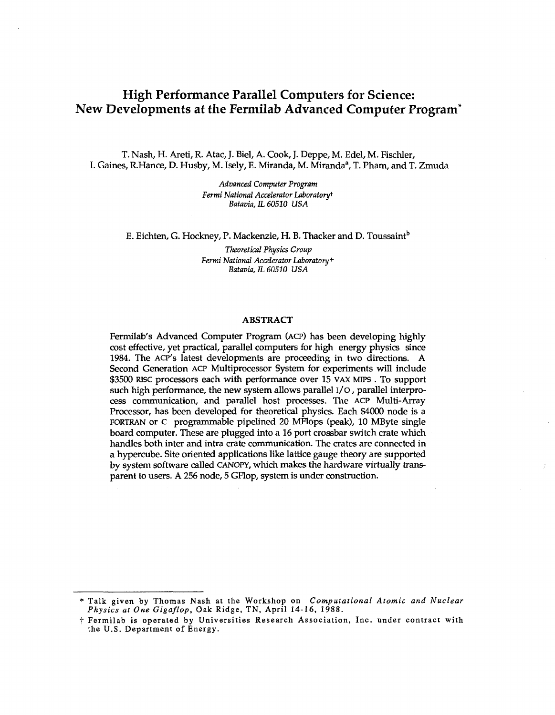# High Performance Parallel Computers for Science: New Developments at the Fermilab Advanced Computer Program\*

T. Nash, H. Areti, R. Atac, J. Biel, A. Cook, J. Deppe, M. Edel, M. Fischler, I. Gaines, R.Hance, D. Husby, M. Isely, E. Miranda, M. Miranda<sup>a</sup>, T. Pham, and T. Zmuda

> *Advanced Computer Program Fermi National Accelerator Laboratory\* Batavia, IL 60510 USA*

E. Eichten, G. Hockney, P. Mackenzie, H. B. Thacker and D. Toussaint<sup>b</sup>

*Theoretical Physics Group Fermi National Accelerator Laboratory+ Batavia, IL 60510 USA* 

#### **ABSTRACT**

Fermilab's Advanced Computer Program (ACP) has been developing highly cost effective, yet practical, parallel computers for high energy physics since 1984. The ACP'S latest developments are proceeding in two directions. A Second Generation ACP Multiprocessor System for experiments will include \$3500 RISC processors each with performance over 15 VAX MIPS . To support such high performance, the new system allows parallel I/O, parallel interprocess communication, and parallel host processes. The ACP Multi-Array Processor, has been developed for theoretical physics. Each \$4000 node is a FORTRAN or c programmable pipelined 20 MFlops (peak), 10 MByte single board computer. These are plugged into a 16 port crossbar switch crate which handles both inter and intra crate communication. The crates are connected in a hypercube. Site oriented applications like lattice gauge theory are supported by system software called CANOPY, which makes the hardware virtually transparent to users. A 256 node, 5 GFlop, system is under construction.

<sup>\*</sup> Talk given by Thomas Nash at the Workshop on *Computational Atomic and Nuclear Physics at One Gigaflop,* Oak Ridge, TN, April 14-16, 1988.

t Fermilab is operated by Universities Research Association, Inc. under contract with the U.S. Department of Energy.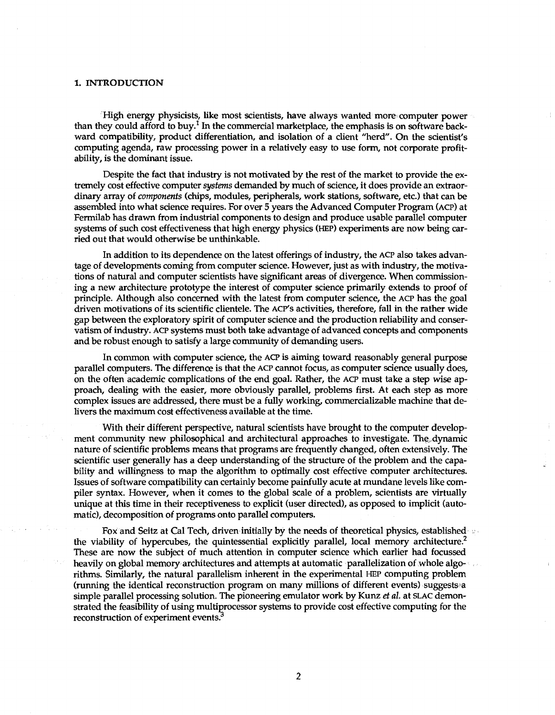#### 1. INTRODUCTION

High energy physicists, like most scientists, have always wanted more computer power than they could afford to buy. $^{\mathrm{I}}$  In the commercial marketplace, the emphasis is on software backward compatibility, product differentiation, and isolation of a client "herd". On the scientist's computing agenda, raw processing power in a relatively easy to use form, not corporate profitability, is the dominant issue.

Despite the fact that industry is not motivated by the rest of the market to provide the extremely cost effective computer *systems* demanded by much of science, it does provide an extraordinary array of *components* (chips, modules, peripherals, work stations, software, etc.) that can be assembled into what science requires. For over 5 years the Advanced Computer Program (ACP) at Fermilab has drawn from industrial components to design and produce usable parallel computer systems of such cost effectiveness that high energy physics (HEP) experiments are now being carried out that would otherwise be unthinkable.

In addition to its dependence on the latest offerings of industry, the ACP also takes advantage of developments coming from computer science. However, just as with industry, the motivations of natural and computer scientists have significant areas of divergence. When commissioning a new architecture prototype the interest of computer science primarily extends to proof of principle. Although also concerned with the latest from computer science, the ACP has the goal driven motivations of its scientific clientele. The ACP's activities, therefore, fall in the rather wide gap between the exploratory spirit of computer science and the production reliability and conservatism of industry. ACP systems must both take advantage of advanced concepts and components and be robust enough to satisfy a large community of demanding users.

In common with computer science, the ACP is aiming toward reasonably general purpose parallel computers. The difference is that the ACP cannot focus, as computer science usually does, on the often academic complications of the end goal. Rather, the ACP must take a step wise approach, dealing with the easier, more obviously parallel, problems first. At each step as more complex issues are addressed, there must be a fully working, commercializable machine that delivers the maximum cost effectiveness available at the time.

With their different perspective, natural scientists have brought to the computer development community new philosophical and architectural approaches to investigate. The, dynamic nature of scientific problems means that programs are frequently changed, often extensively. The scientific user generally has a deep understanding of the structure of the problem and the capability and willingness to map the algorithm to optimally cost effective computer architectures. Issues of software compatibility can certainly become painfully acute at mundane levels like compiler syntax. However, when it comes to the global scale of a problem, scientists are virtually unique at this time in their receptiveness to explicit (user directed), as opposed to implicit (automatic), decomposition of programs onto parallel computers.

Fox and Seitz at Cal Tech, driven initially by the needs of theoretical physics, established the viability of hypercubes, the quintessential explicitly parallel, local memory architecture.<sup>2</sup> These are now the subject of much attention in computer science which earlier had focussed heavily on global memory architectures and attempts at automatic parallelization of whole algorithms. Similarly, the natural parallelism inherent in the experimental HEP computing problem (running the identical reconstruction program on many millions of different events) suggests a simple parallel processing solution. The pioneering emulator work by Kunz *et al.* at SLAC demonstrated the feasibility of using multiprocessor systems to provide cost effective computing for the reconstruction of experiment events.<sup>3</sup>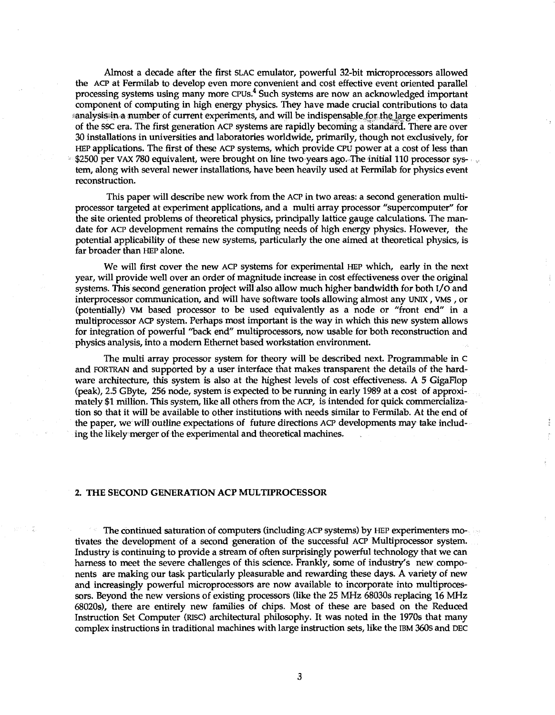Almost a decade after the first SLAC emulator, powerful 32-bit microprocessors allowed the ACP at Fermilab to develop even more convenient and cost effective event oriented parallel processing systems using many more CPUs.<sup>4</sup> Such systems are now an acknowledged important component of computing in high energy physics. They have made crucial contributions to data sanalysissin a number of current experiments, and will be indispensable for the large experiments of the SSC era. The first generation ACP systems are rapidly becoming a standara. There are over 30 installations in universities and laboratories worldwide, primarily, though not exclusively, for HEP applications. The first of these ACP systems, which provide CPU power at a cost of less than \$2500 per VAX 780 equivalent, were brought on line two years ago. The initial 110 processor system, along with several newer installations, have been heavily used at Fermilab for physics event reconstruction.

This paper will describe new work from the ACP in two areas: a second generation multiprocessor targeted at experiment applications, and a multi array processor "supercomputer" for the site oriented problems of theoretical physics, principally lattice gauge calculations. The mandate for ACP development remains the computing needs of high energy physics. However, the potential applicability of these new systems, particularly the one aimed at theoretical physics, is far broader than HEP alone.

We will first cover the new ACP systems for experimental HEP which, early in the next year, will provide well over an order of magnitude increase in cost effectiveness over the original systems. This second generation project will also allow much higher bandwidth for both I/O and interprocessor communication, and will have software tools allowing almost any UNIX, VMS , or (potentially) VM based processor to be used equivalently as a node or "front end" in a multiprocessor ACP system. Perhaps most important is the way in which this new system allows for integration of powerful "back end" multiprocessors, now usable for both reconstruction and physics analysis, into a modern Ethernet based workstation environment.

The multi array processor system for theory will be described next. Programmable in c and FORTRAN and supported by a user interface that makes transparent the details of the hardware architecture, this system is also at the highest levels of cost effectiveness. A 5 GigaFlop (peak), 2.5 GByte, 256 node, system is expected to be running in early 1989 at a cost of approximately \$1 million. This system, like all others from the ACP, is intended for quick commercialization so that it will be available to other institutions with needs similar to Fermilab. At the end of the paper, we will outline expectations of future directions ACP developments may take including the likely merger of the experimental and theoretical machines.

# 2. THE SECOND GENERATION ACP MULTIPROCESSOR

The continued saturation of computers (including; ACP systems) by HEP experimenters motivates the development of a second generation of the successful ACP Multiprocessor system. Industry is continuing to provide a stream of often surprisingly powerful technology that we can harness to meet the severe challenges of this science. Frankly, some of industry's new components are making our task particularly pleasurable and rewarding these days. A variety of new and increasingly powerful microprocessors are now available to incorporate into multiprocessors. Beyond the new versions of existing processors (like the 25 MHz 68030s replacing 16 MHz 68020s), there are entirely new families of chips. Most of these are based on the Reduced Instruction Set Computer (RISC) architectural philosophy. It was noted in the 1970s that many complex instructions in traditional machines with large instruction sets, like the IBM 360s and DEC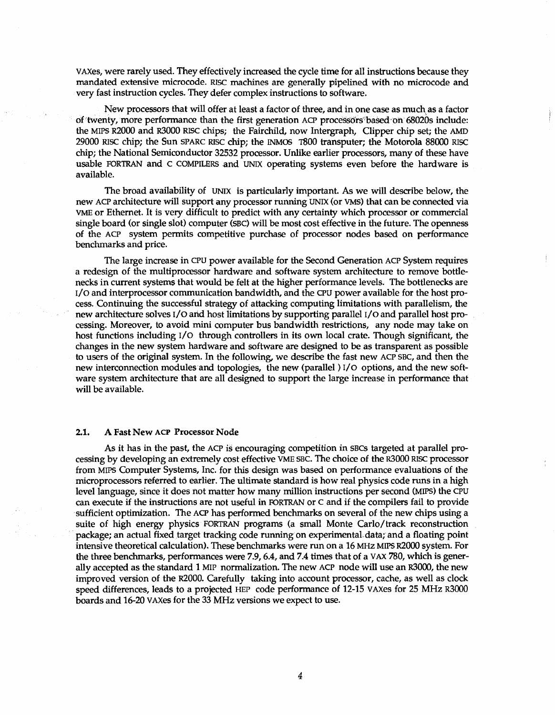VAXes, were rarely used. They effectively increased the cycle time for all instructions because they mandated extensive microcode. RISC machines are generally pipelined with no microcode and very fast instruction cycles. They defer complex instructions to software.

New processors that will offer at least a factor of three, and in one case as much as a factor of twenty, more performance than the first generation ACP processors based on 68020s include: the MIPS R2000 and R3000 Rise chips; the Fairchild, now Intergraph, Clipper chip set; the AMD 29000 RISC chip; the Sun SPARC RISC chip; the INMOS T800 transputer; the Motorola 88000 RISC chip; the National Semiconductor 32532 processor. Unlike earlier processors, many of these have usable FORTRAN and c COMPILERS and UNIX operating systems even before the hardware is available.

The broad availability of UNIX is particularly important. As we will describe below, the new ACP architecture will support any processor running UNIX (or VMS) that can be connected via VME or Ethernet. It is very difficult to predict with any certainty which processor or commercial single board (or single slot) computer (SBC) will be most cost effective in the future. The openness of the ACP system permits competitive purchase of processor nodes based on performance benchmarks and price.

The large increase in CPU power available for the Second Generation ACP System requires a redesign of the multiprocessor hardware and software system architecture to remove bottlenecks in current systems that would be felt at the higher performance levels. The bottlenecks are I/O and interprocessor communication bandwidth, and the CPU power available for the host process. Continuing the successful strategy of attacking computing limitations with parallelism, the new architecture solves I/O arid host limitations by supporting parallel i/o and parallel host processing. Moreover, to avoid mini computer bus bandwidth restrictions, any node may take on host functions including I/O through controllers in its own local crate. Though significant, the changes in the new system hardware and software are designed to be as transparent as possible to users of the original system. In the following, we describe the fast new ACP SBC, and then the new interconnection modules and topologies, the new (parallel) I/O options, and the new software system architecture that are all designed to support the large increase in performance that will be available.

#### 2.1. A Fast New ACP Processor Node

As it has in the past, the ACP is encouraging competition in SBCs targeted at parallel processing by developing an extremely cost effective VME SBC. The choice of the R3000 Rise processor from MIPS Computer Systems, Inc. for this design was based on performance evaluations of the microprocessors referred to earlier. The ultimate standard is how real physics code runs in a high level language, since it does not matter how many million instructions per second (MIPS) the CPU can execute if the instructions are not useful in FORTRAN or C and if the compilers fail to provide sufficient optimization. The ACP has performed benchmarks on several of the new chips using a suite of high energy physics FORTRAN programs (a small Monte Carlo/track reconstruction package; an actual fixed target tracking code running on experimental data; and a floating point intensive theoretical calculation). These benchmarks were run on a 16 MHz MIPS R2000 system. For the three benchmarks, performances were 7.9,6.4, and 7.4 times that of a VAX 780, which is generally accepted as the standard 1 MIP normalization. The new ACP node will use an R3000, the new improved version of the R2000. Carefully taking into account processor, cache, as well as clock speed differences, leads to a projected HEP code performance of 12-15 VAXes for 25 MHz R3000 boards and 16-20 VAXes for the 33 MHz versions we expect to use.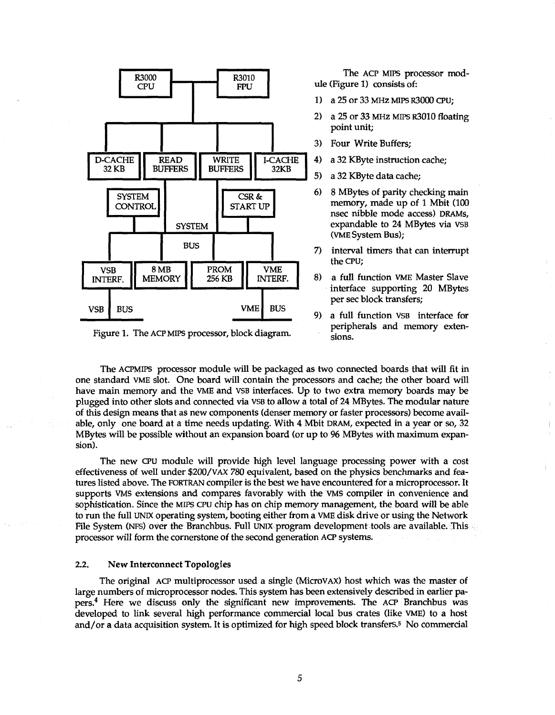

Figure 1. The ACP MIPS processor, block diagram.

The ACP MIPS processor module (Figure 1) consists of:

1) a 25 or 33 MHz MIPS R3000 CPU;

- 2) a 25 or 33 MHz MIPS R3010 floating point unit;
- 3) Four Write Buffers;
- 4) a 32 KByte instruction cache;
- 5) a 32 KByte data cache;
- 6) 8 MBytes of parity checking main memory, made up of 1 Mbit (100 nsec nibble mode access) DRAMs, expandable to 24 MBytes via VSB (VME System Bus);
- 7) interval timers that can interrupt the CPU;
- 8) a full function VME Master Slave interface supporting 20 MBytes per sec block transfers;
- 9) a full function VSB interface for peripherals and memory extensions.

The ACPMIPS processor module will be packaged as two connected boards that will fit in one standard VME slot. One board will contain the processors and cache; the other board will have main memory and the VME and VSB interfaces. Up to two extra memory boards may be plugged into other slots and connected via VSB to allow a total of 24 MBytes. The modular nature of this design means that as new components (denser memory or faster processors) become available, only one board at a time needs updating. With 4 Mbit DRAM, expected in a year or so, 32 MBytes will be possible without an expansion board (or up to 96 MBytes with maximum expansion).

The new CPU module will provide high level language processing power with a cost effectiveness of well under \$200/VAX *780* equivalent, based on the physics benchmarks and features listed above. The FORTRAN compiler is the best we have encountered for a microprocessor. It supports VMS extensions and compares favorably with the VMS compiler in convenience and sophistication. Since the MIPS CPU chip has on chip memory management, the board will be able to run the full UNIX operating system, booting either from a VME disk drive or using the Network File System (NFS) over the Branchbus. Full UNIX program development tools are available. This processor will form the cornerstone of the second generation ACP systems.

### 2.2. New Interconnect Topologies

The original ACP multiprocessor used a single (MicroVAX) host which was the master of large numbers of microprocessor nodes. This system has been extensively described in earlier papers.<sup>4</sup> Here we discuss only the significant new improvements. The ACP Branchbus was developed to link several high performance commercial local bus crates (like VME) to a host and/or a data acquisition system. It is optimized for high speed block transfers.<sup>5</sup> No commercial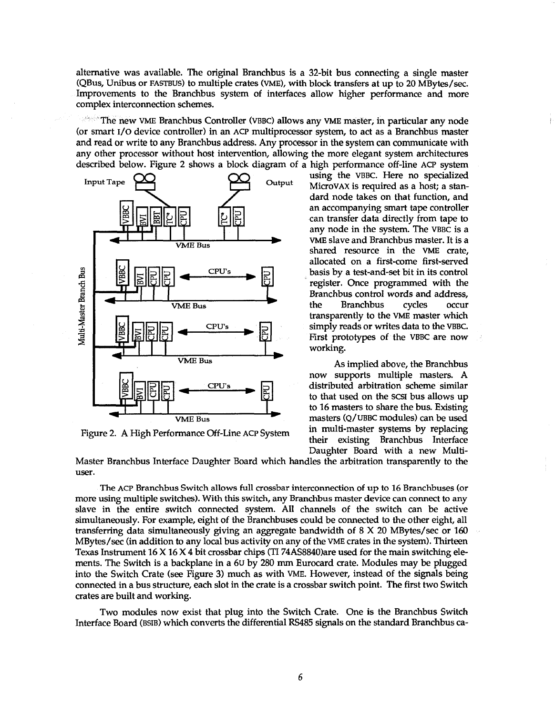alternative was available. The original Branchbus is a 32-bit bus connecting a single master (QBus, Unibus or FASTBUS) to multiple crates (VME), with block transfers at up to 20 MBytes/sec. Improvements to the Branchbus system of interfaces allow higher performance and more complex interconnection schemes.

**The new VME Branchbus Controller (VBBC) allows any VME master, in particular any node** (or smart I/O device controller) in an ACP multiprocessor system, to act as a Branchbus master and read or write to any Branchbus address. Any processor in the system can communicate with any other processor without host intervention, allowing the more elegant system architectures described below. Figure 2 shows a block diagram of a high performance off-line ACP system



Figure 2. A High Performance Off-Line ACP System

using the VBBC. Here no specialized<br>Output MicroVAX is required as a bost: a standard node takes on that function, and an accompanying smart tape controller can transfer data directly from tape to any node in the system. The VBBC is a VME slave and Branchbus master. It is a shared resource in the VME crate, allocated on a first-come first-served basis by a test-and-set bit in its control register. Once programmed with the Branchbus control words and address, the Branchbus cycles occur transparently to the VME master which simply reads or writes data to the VBBC. First prototypes of the VBBC are now working.

> As implied above, the Branchbus now supports multiple masters. A distributed arbitration scheme similar to that used on the SCSI bus allows up to 16 masters to share the bus. Existing masters (Q/UBBC modules) can be used in multi-master systems by replacing their existing Branchbus Interface Daughter Board with a new Multi-

Master Branchbus Interface Daughter Board which handles the arbitration transparently to the user.

The ACP Branchbus Switch allows full crossbar interconnection of up to 16 Branchbuses (or more using multiple switches). With this switch, any Branchbus master device can connect to any slave in the entire switch connected system. All channels of the switch can be active simultaneously. For example, eight of the Branchbuses could be connected to the other eight, all transferring data simultaneously giving an aggregate bandwidth of 8 X 20 MBytes/sec or 160 MBytes/sec (in addition to any local bus activity on any of the VME crates in the system). Thirteen Texas Instrument 16 X 16 X 4 bit crossbar chips (TI 74AS8840)are used for the main switching elements. The Switch is a backplane in a 6u by 280 mm Eurocard crate. Modules may be plugged into the Switch Crate (see Figure 3) much as with VME. However, instead of the signals being connected in a bus structure, each slot in the crate is a crossbar switch point. The first two Switch crates are built and working.

Two modules now exist that plug into the Switch Crate. One is the Branchbus Switch Interface Board (BSIB) which converts the differential RS485 signals on the standard Branchbus ca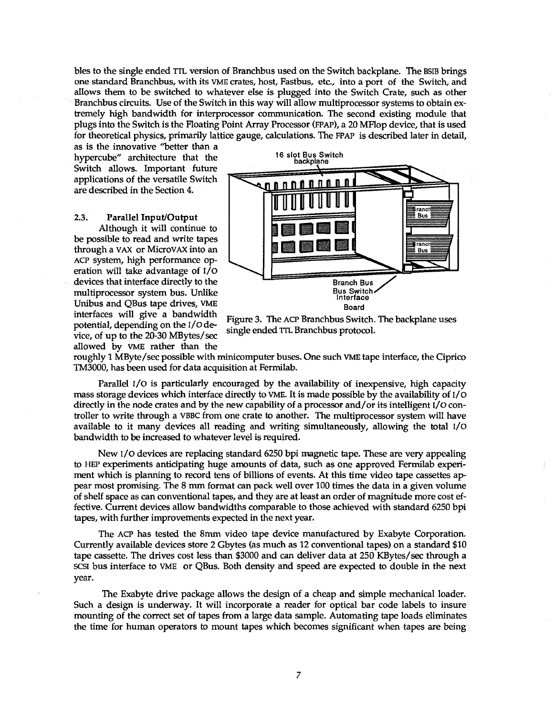bles to the single ended TTL version of Branchbus used on the Switch backplane. The BSIB brings one standard Branchbus, with its VME crates, host, Fastbus, etc., into a port of the Switch, and allows them to be switched to whatever else is plugged into the Switch Crate, such as other Branchbus circuits. Use of the Switch in this way will allow multiprocessor systems to obtain extremely high bandwidth for interprocessor communication. The second existing module that plugs into the Switch is the Floating Point Array Processor (FPAP), a 20 MFlop device, that is used for theoretical physics, primarily lattice gauge, calculations. The FPAP is described later in detail,

as is the innovative "better than a hypercube" architecture that the Switch allows. Important future applications of the versatile Switch are described in the Section 4.

#### 2.3. **Parallel Input/Output**

Although it will continue to be possible to read and write tapes through a VAX or MicroVAX into an ACP system, high performance operation will take advantage of I/O devices that interface directly to the multiprocessor system bus. Unlike Unibus and QBus tape drives, VME interfaces will give a bandwidth potential, depending on the i/o device, of up to the 20-30 MBytes/sec allowed by VME rather than the



Figure 3. The ACP Branchbus Switch. The backplane uses single ended TTL Branchbus protocol.

roughly 1 MByte/sec possible with minicomputer buses. One such VME tape interface, the Ciprico TM3000, has been used for data acquisition at Fermilab.

Parallel I/O is particularly encouraged by the availability of inexpensive, high capacity mass storage devices which interface directly to VME. It is made possible by the availability of i/o directly in the node crates and by the new capability of a processor and/or its intelligent i/o controller to write through a VBBC from one crate to another. The multiprocessor system will have available to it many devices all reading and writing simultaneously, allowing the total i/o bandwidth to be increased to whatever level is required.

New I/O devices are replacing standard 6250 bpi magnetic tape. These are very appealing to HEP experiments anticipating huge amounts of data, such as one approved Fermilab experiment which is planning to record tens of billions of events. At this time video tape cassettes appear most promising. The 8 mm format can pack well over 100 times the data in a given volume of shelf space as can conventional tapes, and they are at least an order of magnitude more cost effective. Current devices allow bandwidths comparable to those achieved with standard 6250 bpi tapes, with further improvements expected in the next year.

The ACP has tested the 8mm video tape device manufactured by Exabyte Corporation. Currently available devices store 2 Gbytes (as much as 12 conventional tapes) on a standard \$10 tape cassette. The drives cost less than \$3000 and can deliver data at 250 KBytes/sec through a SCSI bus interface to VME or QBus. Both density and speed are expected to double in the next year.

The Exabyte drive package allows the design of a cheap and simple mechanical loader. Such a design is underway. It will incorporate a reader for optical bar code labels to insure mounting of the correct set of tapes from a large data sample. Automating tape loads eliminates the time for human operators to mount tapes which becomes significant when tapes are being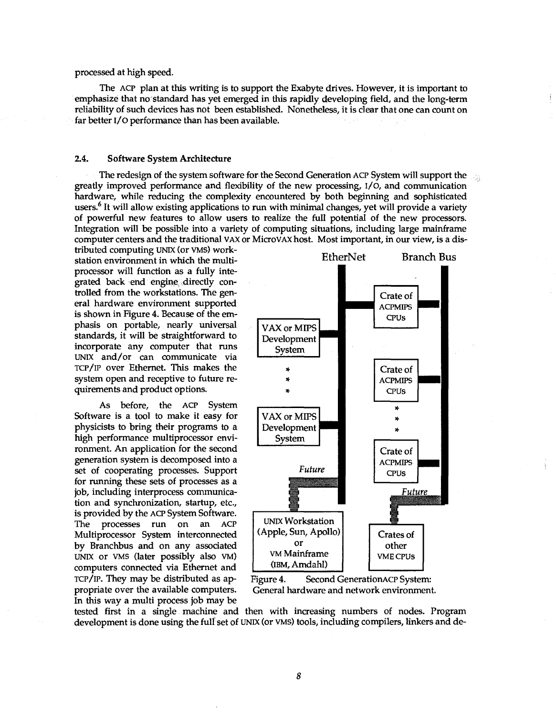#### processed at high speed.

The ACP plan at this writing is to support the Exabyte drives. However, it is important to emphasize that no standard has yet emerged in this rapidly developing field, and the long-term reliability of such devices has not been established. Nonetheless, it is clear that one can count on far better I/O performance than has been available.

# 2.4. Software System Architecture

The redesign of the system software for the Second Generation ACP System will support the greatly improved performance and flexibility of the new processing,  $I/O$ , and communication hardware, while reducing the complexity encountered by both beginning and sophisticated users.<sup>6</sup> It will allow existing applications to run with minimal changes, yet will provide a variety of powerful new features to allow users to realize the full potential of the new processors. Integration will be possible into a variety of computing situations, including large mainframe computer centers and the traditional VAX or MicroVAX host. Most important, in our view, is a dis-

tributed computing UNIX (or VMS) workstation environment in which the multiprocessor will function as a fully integrated back end engine, directly controlled from the workstations. The general hardware environment supported is shown in Figure 4. Because of the emphasis on portable, nearly universal standards, it will be straightforward to incorporate any computer that runs UNIX and/or can communicate via TCP/IP over Ethernet. This makes the system open and receptive to future requirements and product options.

As before, the ACP System Software is a tool to make it easy for physicists to bring their programs to a high performance multiprocessor environment. An application for the second generation system is decomposed into a set of cooperating processes. Support for running these sets of processes as a job, including interprocess communication and synchronization, startup, etc., is provided by the ACP System Software. The processes run on an ACP Multiprocessor System interconnected by Branchbus and on any associated UNIX or VMS (later possibly also VM) computers connected via Ethernet and TCP/IP. They may be distributed as appropriate over the available computers. In this way a multi process job may be



Figure 4. Second GenerationACP System: General hardware and network environment.

tested first in a single machine and then with increasing numbers of nodes. Program development is done using the full set of UNIX (or VMS) tools, including compilers, linkers and de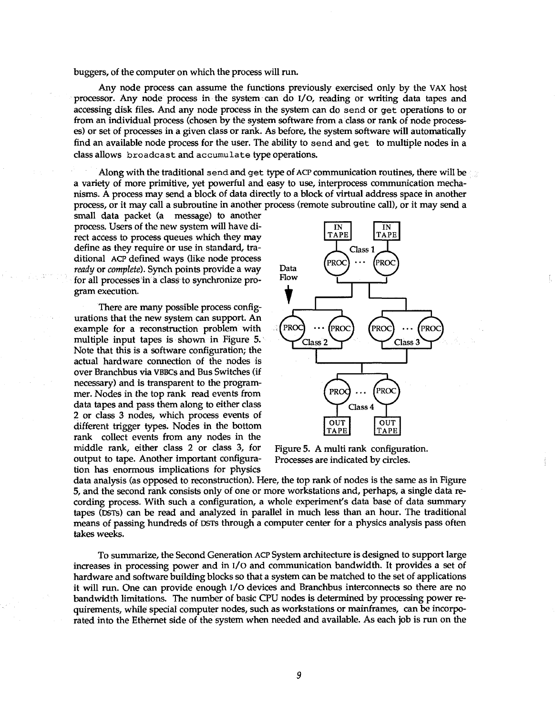buggers, of the computer on which the process will run.

Any node process can assume the functions previously exercised only by the VAX host processor. Any node process in the system can do I/O, reading or writing data tapes and accessing disk files. And any node process in the system can do send or get operations to or from an individual process (chosen by the system software from a class or rank of node processes) or set of processes in a given class or rank. As before, the system software will automatically find an available node process for the user. The ability to send and get to multiple nodes in a class allows broadcast and accumulate type operations.

Along with the traditional send and get type of ACP communication routines, there will be a variety of more primitive, yet powerful and easy to use, interprocess communication mechanisms. A process may send a block of data directly to a block of virtual address space in another process, or it may call a subroutine in another process (remote subroutine call), or it may send a

small data packet (a message) to another process. Users of the new system will have direct access to process queues which they may define as they require or use in standard, traditional ACP defined ways (like node process *ready* or *complete).* Synch points provide a way for all processes in a class to synchronize program execution.

There are many possible process configurations that the new system can support. An example for a reconstruction problem with multiple input tapes is shown in Figure 5. Note that this is a software configuration; the actual hardware connection of the nodes is over Branchbus via VBBCs and Bus Switches (if necessary) and is transparent to the programmer. Nodes in the top rank read events from data tapes and pass them along to either class 2 or class 3 nodes, which process events of different trigger types. Nodes in the bottom rank collect events from any nodes in the middle rank, either class 2 or class 3, for output to tape. Another important configuration has enormous implications for physics



Figure 5. A multi rank configuration. Processes are indicated by circles.

data analysis (as opposed to reconstruction). Here, the top rank of nodes is the same as in Figure 5, and the second rank consists only of one or more workstations and, perhaps, a single data recording process. With such a configuration, a whole experiment's data base of data summary tapes (DSTs) can be read and analyzed in parallel in much less than an hour. The traditional means of passing hundreds of DSTs through a computer center for a physics analysis pass often takes weeks.

To summarize, the Second Generation ACP System architecture is designed to support large increases in processing power and in  $I/O$  and communication bandwidth. It provides a set of hardware and software building blocks so that a system can be matched to the set of applications it will run. One can provide enough I/O devices and Branchbus interconnects so there are no bandwidth limitations. The number of basic CPU nodes is determined by processing power requirements, while special computer nodes, such as workstations or mainframes, can be incorporated into the Ethernet side of the system when needed and available. As each job is run on the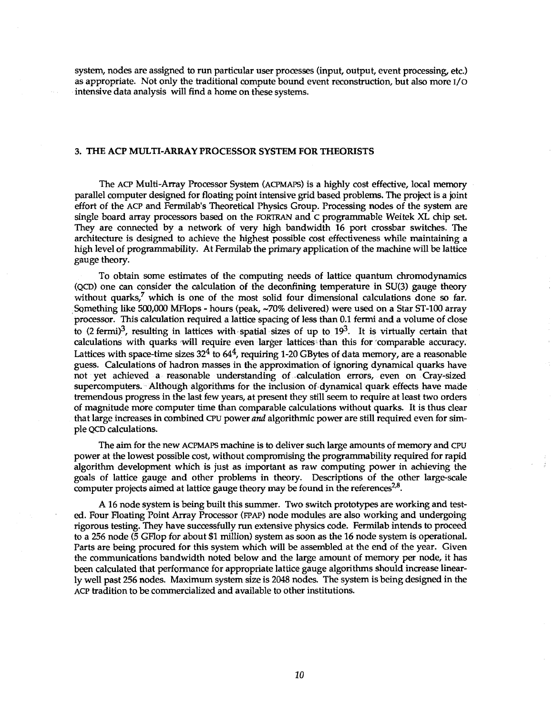system, nodes are assigned to run particular user processes (input, output, event processing, etc.) as appropriate. Not only the traditional compute bound event reconstruction, but also more i/o intensive data analysis will find a home on these systems.

## **3. THE ACP MULTI-ARRAY PROCESSOR SYSTEM FOR THEORISTS**

The ACP Multi-Array Processor System (ACPMAPS) is a highly cost effective, local memory parallel computer designed for floating point intensive grid based problems. The project is a joint effort of the ACP and Fermilab's Theoretical Physics Group. Processing nodes of the system are single board array processors based on the FORTRAN and c programmable Weitek XL chip set. They are connected by a network of very high bandwidth 16 port crossbar switches. The architecture is designed to achieve the highest possible cost effectiveness while maintaining a high level of programmability. At Fermilab the primary application of the machine will be lattice gauge theory.

To obtain some estimates of the computing needs of lattice quantum chromodynamics (QCD) one can consider the calculation of the deconfining temperature in SU(3) gauge theory without quarks,<sup>7</sup> which is one of the most solid four dimensional calculations done so far. Sqmething like 500,000 MFlops - hours (peak, ~70% delivered) were used on a Star ST-100 array processor. This calculation required a lattice spacing of less than 0.1 fermi and a volume of close to (2 fermi)<sup>3</sup>, resulting in lattices with spatial sizes of up to 19<sup>3</sup>. It is virtually certain that calculations with quarks will require even larger lattices than this for comparable accuracy. Lattices with space-time sizes  $32^4$  to  $64^4$ , requiring 1-20 GBytes of data memory, are a reasonable guess. Calculations of hadron masses in the approximation of ignoring dynamical quarks have not yet achieved a reasonable understanding of calculation errors, even on Cray-sized supercomputers. Although algorithms for the inclusion of dynamical quark effects have made tremendous progress in the last few years, at present they still seem to require at least two orders of magnitude more computer time than comparable calculations without quarks. It is thus clear that large increases in combined CPU power *and* algorithmic power are still required even for simple QCD calculations.

The aim for the new ACPMAPS machine is to deliver such large amounts of memory and CPU power at the lowest possible cost, without compromising the programmability required for rapid algorithm development which is just as important as raw computing power in achieving the goals of lattice gauge and other problems in theory. Descriptions of the other large-scale computer projects aimed at lattice gauge theory may be found in the references<sup>2,8</sup>.

A16 node system is being built this summer. Two switch prototypes are working and tested. Four Floating Point Array Processor (FPAP) node modules are also working and undergoing rigorous testing. They have successfully run extensive physics code. Fermilab intends to proceed to a 256 node (5 GFlop for about \$1 million) system as soon as the 16 node system is operational. Parts are being procured for this system which will be assembled at the end of the year. Given the communications bandwidth noted below and the large amount of memory per node, it has been calculated that performance for appropriate lattice gauge algorithms should increase linearly well past 256 nodes. Maximum system size is 2048 nodes. The system is being designed in the ACP tradition to be commercialized and available to other institutions.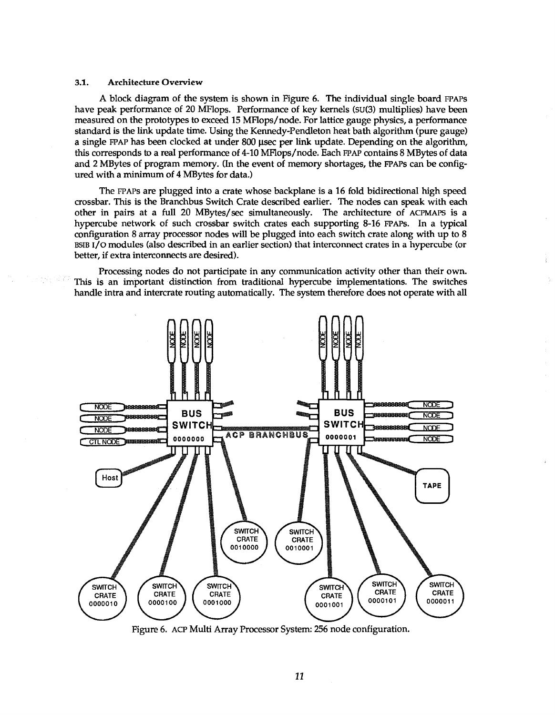#### 3.1. Architecture Overview

A block diagram of the system is shown in Figure 6. The individual single board FPAPS have peak performance of 20 MFlops. Performance of key kernels (su(3) multiplies) have been measured on the prototypes to exceed 15 MFlops/node. For lattice gauge physics, a performance standard is the link update time. Using the Kennedy-Pendleton heat bath algorithm (pure gauge) a single FPAP has been clocked at under 800 usee per link update. Depending on the algorithm, this corresponds to a real performance of 4-10 MFlops/node. Each FPAP contains 8 MBytes of data and 2 MBytes of program memory. (In the event of memory shortages, the FPAPs can be configured with a minimum of 4 MBytes for data.)

The FPAPS are plugged into a crate whose backplane is a 16 fold bidirectional high speed crossbar. This is the Branchbus Switch Crate described earlier. The nodes can speak with each other in pairs at a full 20 MBytes/sec simultaneously. The architecture of ACPMAPS is a hypercube network of such crossbar switch crates each supporting 8-16 FPAPs. In a typical configuration 8 array processor nodes will be plugged into each switch crate along with up to 8 BSIB I/O modules (also described in an earlier section) that interconnect crates in a hypercube (or better, if extra interconnects are desired).

Processing nodes do not participate in any communication activity other than their own. This is an important distinction from traditional hypercube implementations. The switches handle intra and intercrate routing automatically. The system therefore does not operate with all



Figure 6. ACP Multi Array Processor System: 256 node configuration.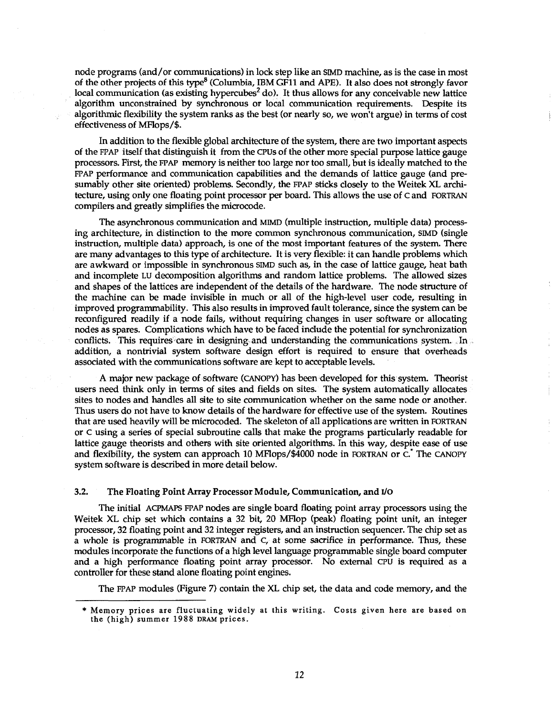node programs (and/or communications) in lock step like an SMD machine, as is the case in most of the other projects of this type<sup>8</sup> (Columbia, IBM GF11 and APE). It also does not strongly favor local communication (as existing hypercubes<sup>2</sup> do). It thus allows for any conceivable new lattice algorithm unconstrained by synchronous or local communication requirements. Despite its algorithmic flexibility the system ranks as the best (or nearly so, we won't argue) in terms of cost effectiveness of MFlops/\$.

In addition to the flexible global architecture of the system, there are two important aspects of the FPAP itself that distinguish it from the CPUs of the other more special purpose lattice gauge processors. First, the FPAP memory is neither too large nor too small, but is ideally matched to the FPAP performance and communication capabilities and the demands of lattice gauge (and presumably other site oriented) problems. Secondly, the FPAP sticks closely to the Weitek XL architecture, using only one floating point processor per board. This allows the use of c and FORTRAN compilers and greatly simplifies the microcode.

The asynchronous communication and MIMD (multiple instruction, multiple data) processing architecture, in distinction to the more common synchronous communication, SMD (single instruction, multiple data) approach, is one of the most important features of the system. There are many advantages to this type of architecture. It is very flexible: it can handle problems which are awkward or impossible in synchronous SIMD such as, in the case of lattice gauge, heat bath and incomplete LU decomposition algorithms and random lattice problems. The allowed sizes and shapes of the lattices are independent of the details of the hardware. The node structure of the machine can be made invisible in much or all of the high-level user code, resulting in improved programmability. This also results in improved fault tolerance, since the system can be reconfigured readily if a node fails, without requiring changes in user software or allocating nodes as spares. Complications which have to be faced include the potential for synchronization conflicts. This requires care in designing and understanding the communications system. In addition, a nontrivial system software design effort is required to ensure that overheads associated with the communications software are kept to acceptable levels.

A major new package of software (CANOPY) has been developed for this system. Theorist users need think only in terms of sites and fields on sites. The system automatically allocates sites to nodes and handles all site to site communication whether on the same node or another. Thus users do not have to know details of the hardware for effective use of the system. Routines that are used heavily will be microcoded. The skeleton of all applications are written in FORTRAN or C using a series of special subroutine calls that make the programs particularly readable for lattice gauge theorists and others with site oriented algorithms. In this way, despite ease of use and flexibility, the system can approach 10 MFlops/\$4000 node in FORTRAN or C. The CANOPY system software is described in more detail below.

#### 3.2. The Floating Point Array Processor Module, Communication, and I/O

The initial ACPMAPS FPAP nodes are single board floating point array processors using the Weitek XL chip set which contains a 32 bit, 20 MFlop (peak) floating point unit, an integer processor, 32 floating point and 32 integer registers, and an instruction sequencer. The chip set as a whole is programmable in FORTRAN and c, at some sacrifice in performance. Thus, these modules incorporate the functions of a high level language programmable single board computer and a high performance floating point array processor. No external CPU is required as a controller for these stand alone floating point engines.

The FPAP modules (Figure 7) contain the XL chip set, the data and code memory, and the

<sup>\*</sup> Memory prices are fluctuating widely at this writing. Costs given here are based on the (high) summer 1988 DRAM prices.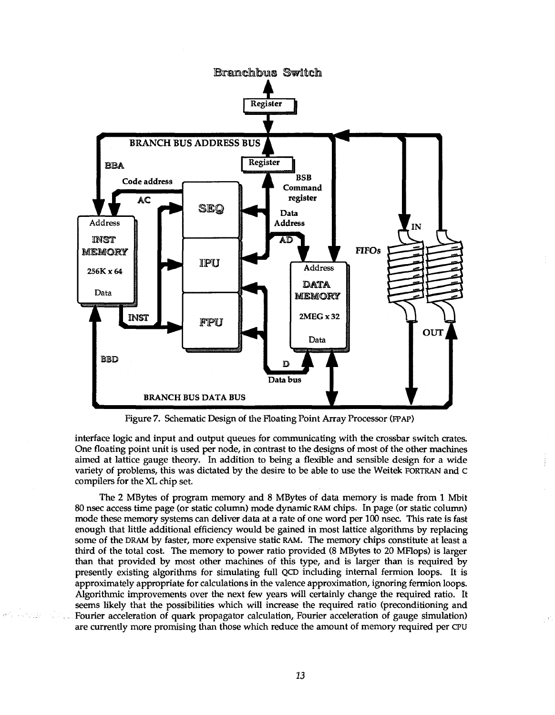

Figure 7. Schematic Design of the Floating Point Array Processor (EPAP)

interface logic and input and output queues for communicating with the crossbar switch crates. One floating point unit is used per node, in contrast to the designs of most of the other machines aimed at lattice gauge theory. In addition to being a flexible and sensible design for a wide variety of problems, this was dictated by the desire to be able to use the Weitek FORTRAN and c compilers for the XL chip set.

The 2 MBytes of program memory and 8 MBytes of data memory is made from 1 Mbit 80 nsec access time page (or static column) mode dynamic RAM chips. In page (or static column) mode these memory systems can deliver data at a rate of one word per 100 nsec. This rate is fast enough that little additional efficiency would be gained in most lattice algorithms by replacing some of the DRAM by faster, more expensive static RAM. The memory chips constitute at least a third of the total cost. The memory to power ratio provided (8 MBytes to 20 MFlops) is larger than that provided by most other machines of this type, and is larger than is required by presently existing algorithms for simulating full QCD including internal fermion loops. It is approximately appropriate for calculations in the valence approximation, ignoring fermion loops. Algorithmic improvements over the next few years will certainly change the required ratio. It seems likely that the possibilities which will increase the required ratio (preconditioning and Fourier acceleration of quark propagator calculation, Fourier acceleration of gauge simulation) are currently more promising than those which reduce the amount of memory required per CPU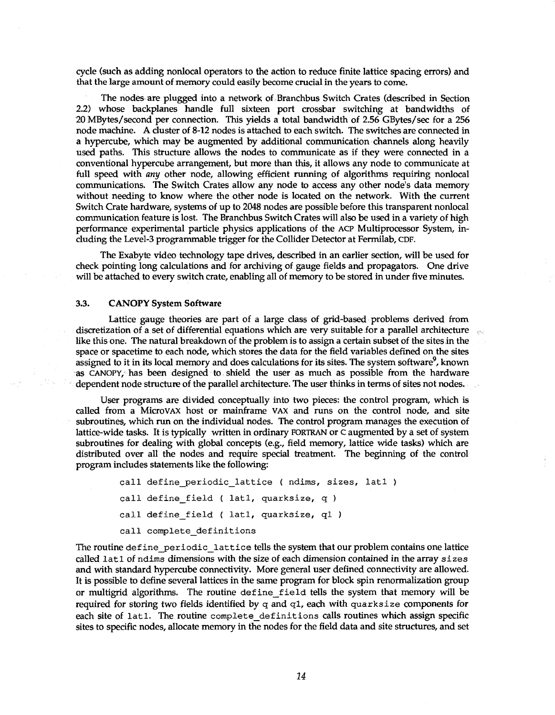cycle (such as adding nonlocal operators to the action to reduce finite lattice spacing errors) and that the large amount of memory could easily become crucial in the years to come.

The nodes are plugged into a network of Branchbus Switch Crates (described in Section 2.2) whose backplanes handle full sixteen port crossbar switching at bandwidths of 20 MBytes/second per connection. This yields a total bandwidth of 2.56 GBytes/sec for a 256 node machine. A cluster of 8-12 nodes is attached to each switch. The switches are connected in a hypercube, which may be augmented by additional communication channels along heavily used paths. This structure allows the nodes to communicate as if they were connected in a conventional hypercube arrangement, but more than this, it allows any node to communicate at full speed with *any* other node, allowing efficient running of algorithms requiring nonlocal communications. The Switch Crates allow any node to access any other node's data memory without needing to know where the other node is located on the network. With the current Switch Crate hardware, systems of up to 2048 nodes are possible before this transparent nonlocal communication feature is lost. The Branchbus Switch Crates will also be used in a variety of high performance experimental particle physics applications of the ACP Multiprocessor System, including the Level-3 programmable trigger for the Collider Detector at Fermilab, CDF.

The Exabyte video technology tape drives, described in an earlier section, will be used for check pointing long calculations and for archiving of gauge fields and propagators. One drive will be attached to every switch crate, enabling all of memory to be stored in under five minutes.

#### 3.3. CANOPY System Software

Lattice gauge theories are part of a large class of grid-based problems derived from discretization of a set of differential equations which are very suitable for a parallel architecture like this one. The natural breakdown of the problem is to assign a certain subset of the sites in the space or spacetime to each node, which stores the data for the field variables defined on the sites assigned to it in its local memory and does calculations for its sites. The system software<sup>9</sup>, known as CANOPY, has been designed to shield the user as much as possible from the hardware dependent node structure of the parallel architecture. The user thinks in terms of sites not nodes.

User programs are divided conceptually into two pieces: the control program, which is called from a MicroVAX host or mainframe VAX and runs on the control node, and site subroutines, which run on the individual nodes. The control program manages the execution of lattice-wide tasks. It is typically written in ordinary FORTRAN or c augmented by a set of system subroutines for dealing with global concepts (e.g., field memory, lattice wide tasks) which are distributed over all the nodes and require special treatment. The beginning of the control program includes statements like the following:

```
call define periodic lattice ( ndims, sizes, lat1 )
call define field ( latl, quarksize, q )
call define field ( latl, quarksize, ql )
call complete definitions
```
The routine define periodic lattice tells the system that our problem contains one lattice called lat 1 of ndims dimensions with the size of each dimension contained in the array sizes and with standard hypercube connectivity. More general user defined connectivity are allowed. It is possible to define several lattices in the same program for block spin renormalization group or multigrid algorithms. The routine define field tells the system that memory will be required for storing two fields identified by  $q$  and  $q1$ , each with quarksize components for each site of latl. The routine complete definitions calls routines which assign specific sites to specific nodes, allocate memory in the nodes for the field data and site structures, and set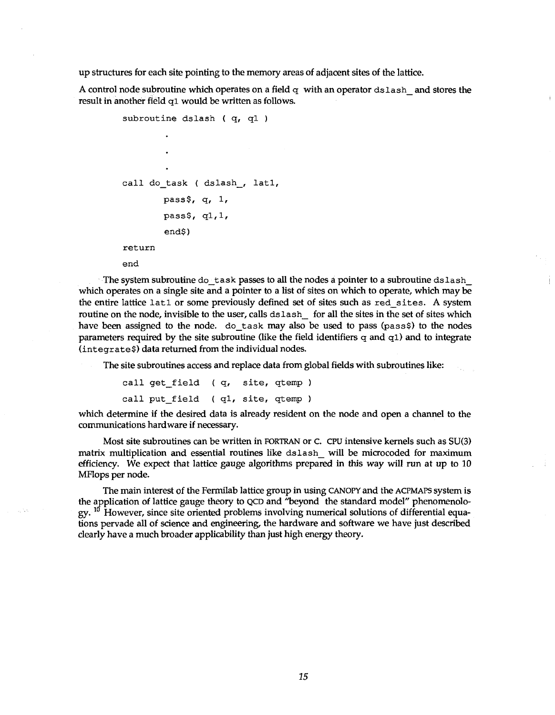up structures for each site pointing to the memory areas of adjacent sites of the lattice.

A control node subroutine which operates on a field  $q$  with an operator dslash and stores the result in another field ql would be written as follows.

```
subroutine dslash (q, q1)
call do task ( dslash, latl,
       pass$, q, 1, 
       pass$, q1,1,
        end$) 
return
end
```
The system subroutine do task passes to all the nodes a pointer to a subroutine dslash which operates on a single site and a pointer to a list of sites on which to operate, which may be the entire lattice lat1 or some previously defined set of sites such as red sites. A system routine on the node, invisible to the user, calls dslash for all the sites in the set of sites which have been assigned to the node. do task may also be used to pass (pass\$) to the nodes parameters required by the site subroutine (like the field identifiers  $q$  and  $q1$ ) and to integrate (integrate\$) data returned from the individual nodes.

The site subroutines access and replace data from global fields with subroutines like:

```
call get_field ( q, site, qtemp )
call put field ( q1, site, qtemp )
```
which determine if the desired data is already resident on the node and open a channel to the communications hardware if necessary.

Most site subroutines can be written in FORTRAN or c. CPU intensive kernels such as SU(3) matrix multiplication and essential routines like dslash\_ will be microcoded for maximum efficiency. We expect that lattice gauge algorithms prepared in this way will run at up to 10 MFlops per node.

The main interest of the Fermilab lattice group in using CANOPY and the ACPMAPS system is the application of lattice gauge theory to QCD and "beyond the standard model" phenomenolo $gy.$  <sup>10</sup> However, since site oriented problems involving numerical solutions of differential equations pervade all of science and engineering, the hardware and software we have just described clearly have a much broader applicability than just high energy theory.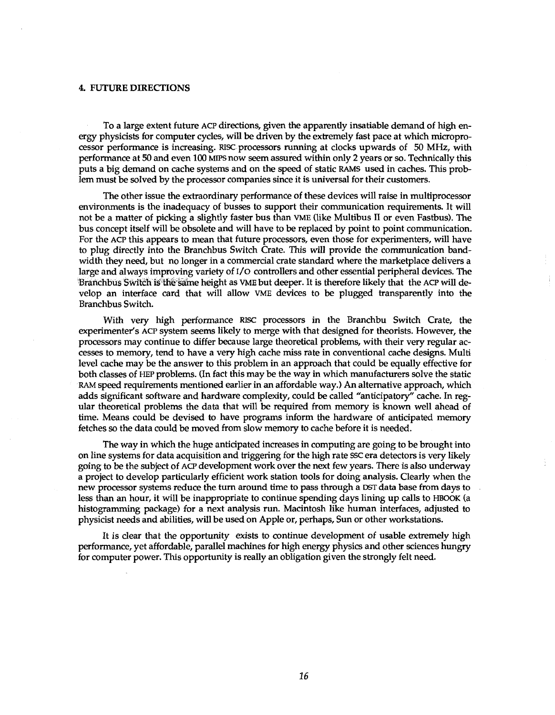#### 4. FUTURE DIRECTIONS

To a large extent future ACP directions, given the apparently insatiable demand of high energy physicists for computer cycles, will be driven by the extremely fast pace at which microprocessor performance is increasing. Rise processors running at clocks upwards of 50 MHz, with performance at 50 and even 100 MIPS now seem assured within only 2 years or so. Technically this puts a big demand on cache systems and on the speed of static RAMS used in caches. This problem must be solved by the processor companies since it is universal for their customers.

The other issue the extraordinary performance of these devices will raise in multiprocessor environments is the inadequacy of busses to support their communication requirements. It will not be a matter of picking a slightly faster bus than VME (like Multibus II or even Fastbus). The bus concept itself will be obsolete and will have to be replaced by point to point communication. For the ACP this appears to mean that future processors, even those for experimenters, will have to plug directly into the Branchbus Switch Crate. This will provide the communication bandwidth they need, but no longer in a commercial crate standard where the marketplace delivers a large and always improving variety of I/O controllers and other essential peripheral devices. The Branchbus Switch is the same height as VME but deeper. It is therefore likely that the ACP will develop an interface card that will allow VME devices to be plugged transparently into the Branchbus Switch.

With very high performance RISC processors in the Branchbu Switch Crate, the experimenter's ACP system seems likely to merge with that designed for theorists. However, the processors may continue to differ because large theoretical problems, with their very regular accesses to memory, tend to have a very high cache miss rate in conventional cache designs. Multi level cache may be the answer to this problem in an approach that could be equally effective for both classes of HEP problems. (In fact this may be the way in which manufacturers solve the static RAM speed requirements mentioned earlier in an affordable way.) An alternative approach, which adds significant software and hardware complexity, could be called "anticipatory" cache. In regular theoretical problems the data that will be required from memory is known well ahead of time. Means could be devised to have programs inform the hardware of anticipated memory fetches so the data could be moved from slow memory to cache before it is needed.

The way in which the huge anticipated increases in computing are going to be brought into on line systems for data acquisition and triggering for the high rate SSC era detectors is very likely going to be the subject of ACP development work over the next few years. There is also underway a project to develop particularly efficient work station tools for doing analysis. Clearly when the new processor systems reduce the turn around time to pass through a DST data base from days to less than an hour, it will be inappropriate to continue spending days lining up calls to HBOOK (a histogramming package) for a next analysis run. Macintosh like human interfaces, adjusted to physicist needs and abilities, will be used on Apple or, perhaps, Sun or other workstations.

It is clear that the opportunity exists to continue development of usable extremely high performance, yet affordable, parallel machines for high energy physics and other sciences hungry for computer power. This opportunity is really an obligation given the strongly felt need.